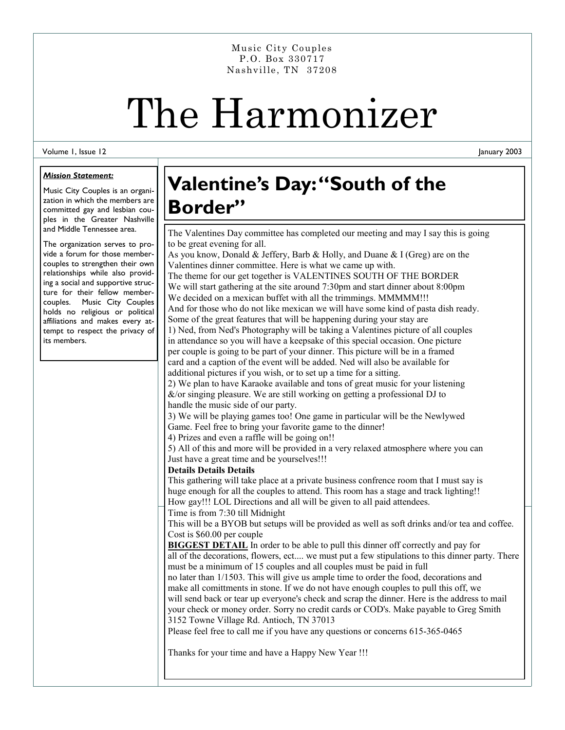Nashville, TN 37208 Music City Couples P.O. Box 330717

# The Harmonizer

#### Volume 1, Issue 12

#### *Mission Statement:*

Music City Couples is an organization in which the members are committed gay and lesbian couples in the Greater Nashville and Middle Tennessee area.

The organization serves to provide a forum for those membercouples to strengthen their own relationships while also providing a social and supportive structure for their fellow membercouples. Music City Couples holds no religious or political affiliations and makes every attempt to respect the privacy of its members.

## **Valentine's Day: "South of the Border"**

The Valentines Day committee has completed our meeting and may I say this is going to be great evening for all.

As you know, Donald & Jeffery, Barb & Holly, and Duane & I (Greg) are on the Valentines dinner committee. Here is what we came up with. The theme for our get together is VALENTINES SOUTH OF THE BORDER We will start gathering at the site around 7:30pm and start dinner about 8:00pm We decided on a mexican buffet with all the trimmings. MMMMM!!! And for those who do not like mexican we will have some kind of pasta dish ready. Some of the great features that will be happening during your stay are 1) Ned, from Ned's Photography will be taking a Valentines picture of all couples in attendance so you will have a keepsake of this special occasion. One picture per couple is going to be part of your dinner. This picture will be in a framed card and a caption of the event will be added. Ned will also be available for additional pictures if you wish, or to set up a time for a sitting. 2) We plan to have Karaoke available and tons of great music for your listening  $\&$ /or singing pleasure. We are still working on getting a professional DJ to handle the music side of our party. 3) We will be playing games too! One game in particular will be the Newlywed Game. Feel free to bring your favorite game to the dinner! 4) Prizes and even a raffle will be going on!! 5) All of this and more will be provided in a very relaxed atmosphere where you can Just have a great time and be yourselves!!! **Details Details Details**  This gathering will take place at a private business confrence room that I must say is huge enough for all the couples to attend. This room has a stage and track lighting!! How gay!!! LOL Directions and all will be given to all paid attendees.

Time is from 7:30 till Midnight

This will be a BYOB but setups will be provided as well as soft drinks and/or tea and coffee. Cost is \$60.00 per couple

**BIGGEST DETAIL** In order to be able to pull this dinner off correctly and pay for all of the decorations, flowers, ect.... we must put a few stipulations to this dinner party. There must be a minimum of 15 couples and all couples must be paid in full

no later than 1/1503. This will give us ample time to order the food, decorations and make all comittments in stone. If we do not have enough couples to pull this off, we will send back or tear up everyone's check and scrap the dinner. Here is the address to mail your check or money order. Sorry no credit cards or COD's. Make payable to Greg Smith 3152 Towne Village Rd. Antioch, TN 37013

Please feel free to call me if you have any questions or concerns 615-365-0465

Thanks for your time and have a Happy New Year !!!

January 2003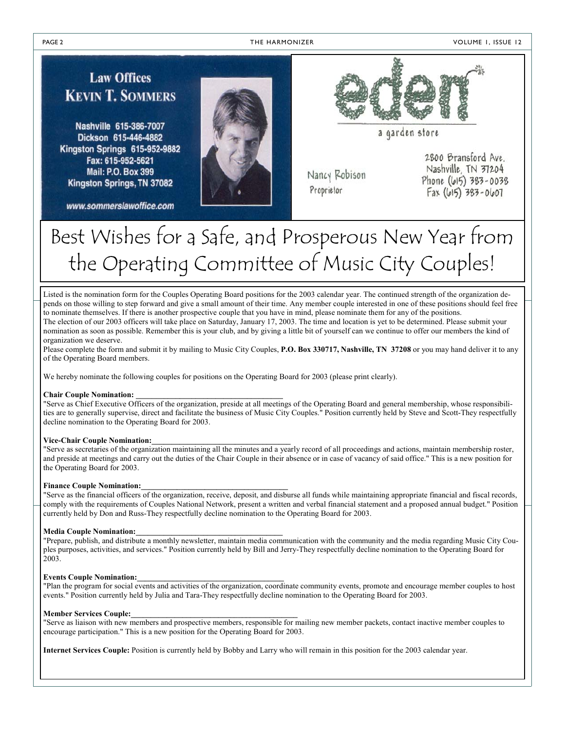**Law Offices KEVIN T. SOMMERS** 

Nashville 615-386-7007 Dickson 615-446-4882 Kingston Springs 615-952-9882 Fax: 615-952-5621 Mail: P.O. Box 399 Kingston Springs, TN 37082

www.sommerslawoffice.com





a garden store

Nancy Robison Proprietor

2800 Bransford Ave. Nashville TN 37204 Phone (615) 383-0038  $Fax (615) 383 - 0607$ 

# Best Wishes for a Safe, and Prosperous New Year from the Operating Committee of Music City Couples!

Listed is the nomination form for the Couples Operating Board positions for the 2003 calendar year. The continued strength of the organization depends on those willing to step forward and give a small amount of their time. Any member couple interested in one of these positions should feel free to nominate themselves. If there is another prospective couple that you have in mind, please nominate them for any of the positions. The election of our 2003 officers will take place on Saturday, January 17, 2003. The time and location is yet to be determined. Please submit your nomination as soon as possible. Remember this is your club, and by giving a little bit of yourself can we continue to offer our members the kind of

organization we deserve.

Please complete the form and submit it by mailing to Music City Couples, **P.O. Box 330717, Nashville, TN 37208** or you may hand deliver it to any of the Operating Board members.

We hereby nominate the following couples for positions on the Operating Board for 2003 (please print clearly).

#### **Chair Couple Nomination: \_\_\_\_\_\_\_\_\_\_\_\_\_\_\_\_\_\_\_\_\_\_\_\_\_\_\_\_\_\_\_\_\_\_\_\_\_**

"Serve as Chief Executive Officers of the organization, preside at all meetings of the Operating Board and general membership, whose responsibilities are to generally supervise, direct and facilitate the business of Music City Couples." Position currently held by Steve and Scott-They respectfully decline nomination to the Operating Board for 2003.

#### **Vice-Chair Couple Nomination:\_\_\_\_\_\_\_\_\_\_\_\_\_\_\_\_\_\_\_\_\_\_\_\_\_\_\_\_\_\_\_\_\_\_\_**

"Serve as secretaries of the organization maintaining all the minutes and a yearly record of all proceedings and actions, maintain membership roster, and preside at meetings and carry out the duties of the Chair Couple in their absence or in case of vacancy of said office." This is a new position for the Operating Board for 2003.

#### **Finance Couple Nomination:\_\_\_\_\_\_\_\_\_\_\_\_\_\_\_\_\_\_\_\_\_\_\_\_\_\_\_\_\_\_\_\_\_\_\_\_\_**

"Serve as the financial officers of the organization, receive, deposit, and disburse all funds while maintaining appropriate financial and fiscal records, comply with the requirements of Couples National Network, present a written and verbal financial statement and a proposed annual budget." Position currently held by Don and Russ-They respectfully decline nomination to the Operating Board for 2003.

#### **Media Couple Nomination:\_\_\_\_\_\_\_\_\_\_\_\_\_\_\_\_\_\_\_\_\_\_\_\_\_\_\_\_\_\_\_\_\_\_\_\_\_**

"Prepare, publish, and distribute a monthly newsletter, maintain media communication with the community and the media regarding Music City Couples purposes, activities, and services." Position currently held by Bill and Jerry-They respectfully decline nomination to the Operating Board for 2003.

#### **Events Couple Nomination:\_\_\_\_\_\_\_\_\_\_\_\_\_\_\_\_\_\_\_\_\_\_\_\_\_\_\_\_\_\_\_\_\_\_\_\_\_**

"Plan the program for social events and activities of the organization, coordinate community events, promote and encourage member couples to host events." Position currently held by Julia and Tara-They respectfully decline nomination to the Operating Board for 2003.

#### **Member Services Couple:**

"Serve as liaison with new members and prospective members, responsible for mailing new member packets, contact inactive member couples to encourage participation." This is a new position for the Operating Board for 2003.

**Internet Services Couple:** Position is currently held by Bobby and Larry who will remain in this position for the 2003 calendar year.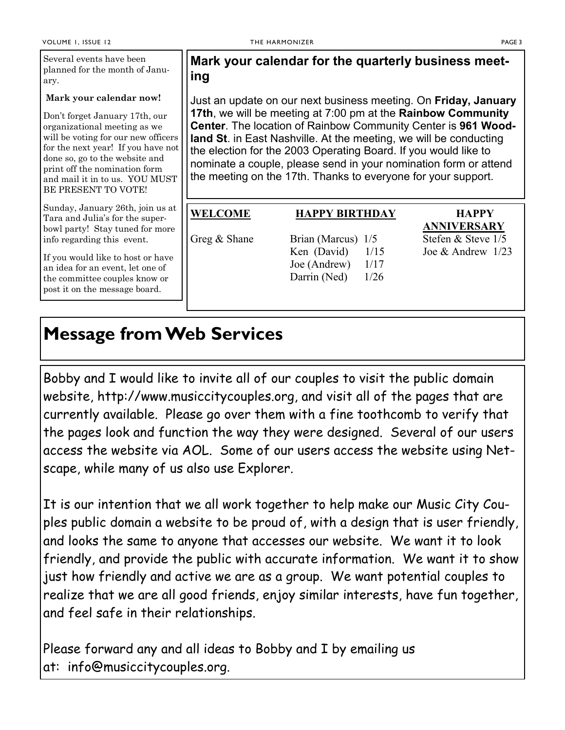#### **Mark your calendar now!**

Don't forget January 17th, our organizational meeting as we will be voting for our new officers for the next year! If you have not done so, go to the website and print off the nomination form and mail it in to us. YOU MUST BE PRESENT TO VOTE!

Sunday, January 26th, join us at Tara and Julia's for the superbowl party! Stay tuned for more info regarding this event.

If you would like to host or have an idea for an event, let one of the committee couples know or post it on the message board.

## **Mark your calendar for the quarterly business meeting**

Just an update on our next business meeting. On **Friday, January 17th**, we will be meeting at 7:00 pm at the **Rainbow Community Center**. The location of Rainbow Community Center is **961 Woodland St**. in East Nashville. At the meeting, we will be conducting the election for the 2003 Operating Board. If you would like to nominate a couple, please send in your nomination form or attend the meeting on the 17th. Thanks to everyone for your support.

### **WELCOME HAPPY BIRTHDAY HAPPY**

Greg  $\&$  Shane Brian (Marcus)  $1/5$  Stefen  $\&$  Steve  $1/5$ Ken (David)  $1/15$  Joe & Andrew  $1/23$ Joe (Andrew)  $1/17$ Darrin (Ned)  $1/26$ 

 **ANNIVERSARY**

## **Message from Web Services**

Bobby and I would like to invite all of our couples to visit the public domain website, http://www.musiccitycouples.org, and visit all of the pages that are currently available. Please go over them with a fine toothcomb to verify that the pages look and function the way they were designed. Several of our users access the website via AOL. Some of our users access the website using Netscape, while many of us also use Explorer.

It is our intention that we all work together to help make our Music City Couples public domain a website to be proud of, with a design that is user friendly, and looks the same to anyone that accesses our website. We want it to look friendly, and provide the public with accurate information. We want it to show just how friendly and active we are as a group. We want potential couples to realize that we are all good friends, enjoy similar interests, have fun together, and feel safe in their relationships.

Please forward any and all ideas to Bobby and I by emailing us at: info@musiccitycouples.org.